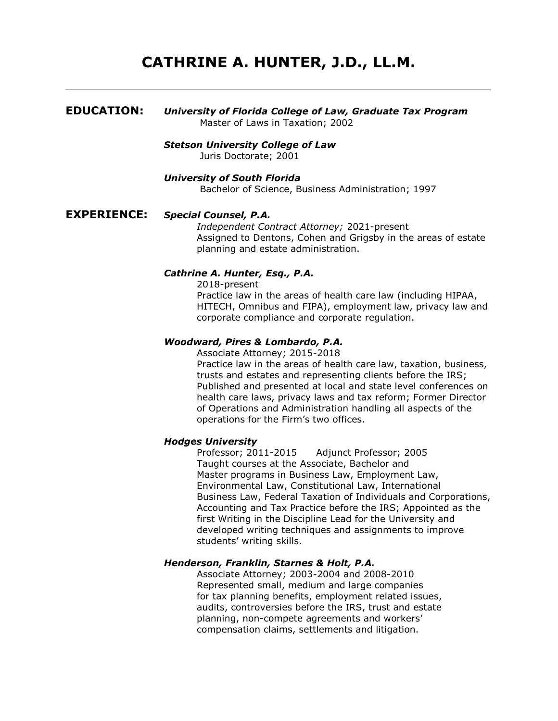# **CATHRINE A. HUNTER, J.D., LL.M.**

## **EDUCATION:** *University of Florida College of Law, Graduate Tax Program* Master of Laws in Taxation; 2002 *Stetson University College of Law*  Juris Doctorate; 2001 *University of South Florida*  Bachelor of Science, Business Administration; 1997 **EXPERIENCE:** *Special Counsel, P.A. Independent Contract Attorney;* 2021-present Assigned to Dentons, Cohen and Grigsby in the areas of estate planning and estate administration.

#### *Cathrine A. Hunter, Esq., P.A.*

2018-present Practice law in the areas of health care law (including HIPAA, HITECH, Omnibus and FIPA), employment law, privacy law and corporate compliance and corporate regulation.

#### *Woodward, Pires & Lombardo, P.A.*

Associate Attorney; 2015-2018 Practice law in the areas of health care law, taxation, business, trusts and estates and representing clients before the IRS; Published and presented at local and state level conferences on health care laws, privacy laws and tax reform; Former Director of Operations and Administration handling all aspects of the operations for the Firm's two offices.

#### *Hodges University*

Professor; 2011-2015 Adjunct Professor; 2005 Taught courses at the Associate, Bachelor and Master programs in Business Law, Employment Law, Environmental Law, Constitutional Law, International Business Law, Federal Taxation of Individuals and Corporations, Accounting and Tax Practice before the IRS; Appointed as the first Writing in the Discipline Lead for the University and developed writing techniques and assignments to improve students' writing skills.

#### *Henderson, Franklin, Starnes & Holt, P.A.*

Associate Attorney; 2003-2004 and 2008-2010 Represented small, medium and large companies for tax planning benefits, employment related issues, audits, controversies before the IRS, trust and estate planning, non-compete agreements and workers' compensation claims, settlements and litigation.